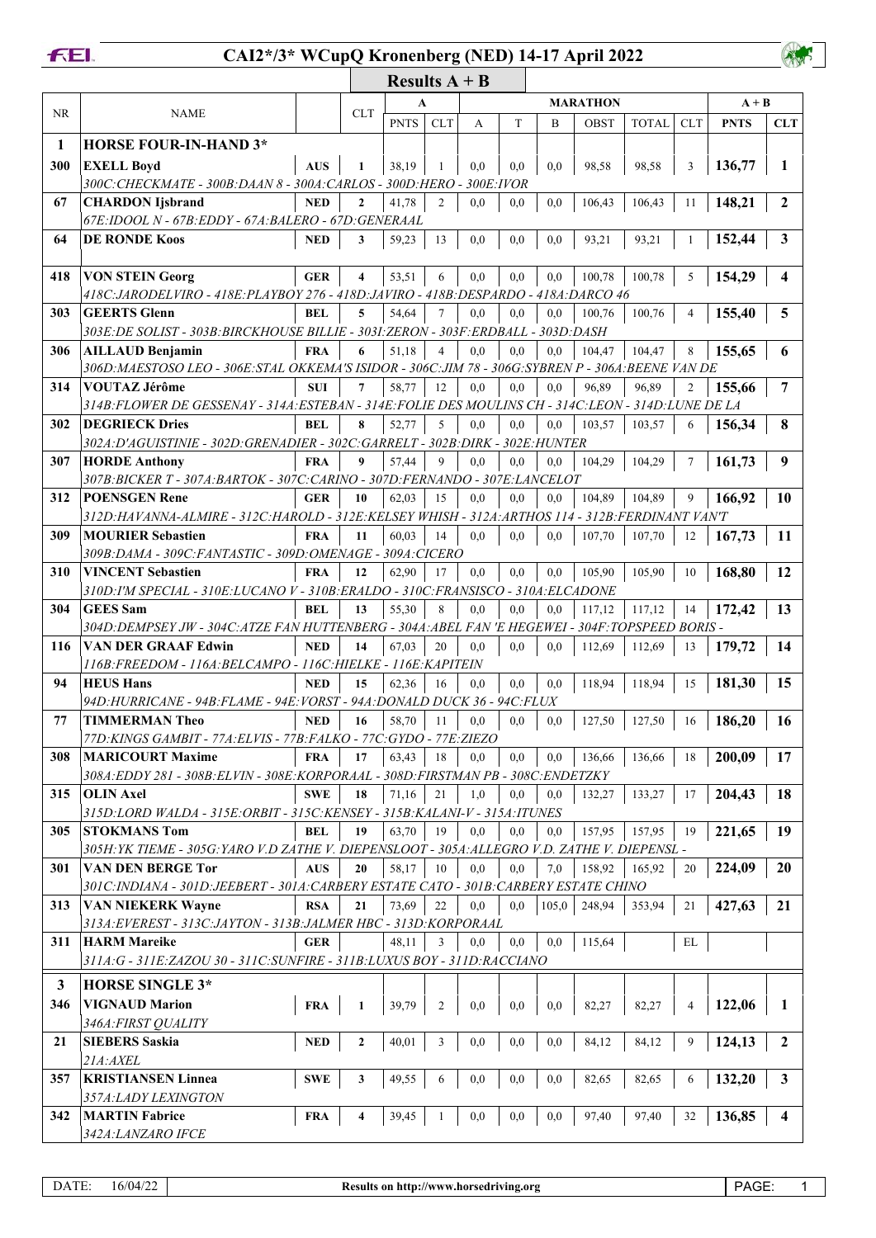

## **CAI2\*/3\* WCupQ Kronenberg (NED) 14-17 April 2022**

|     |                                                                                                       |            |                         | A           |                |     |     |       | MARATHON |              |                | $A + B$     |                         |
|-----|-------------------------------------------------------------------------------------------------------|------------|-------------------------|-------------|----------------|-----|-----|-------|----------|--------------|----------------|-------------|-------------------------|
| NR  | <b>NAME</b>                                                                                           |            | <b>CLT</b>              | <b>PNTS</b> | <b>CLT</b>     | A   | T   | B     | OBST     | <b>TOTAL</b> | <b>CLT</b>     | <b>PNTS</b> | <b>CLT</b>              |
| 1   | <b>HORSE FOUR-IN-HAND 3*</b>                                                                          |            |                         |             |                |     |     |       |          |              |                |             |                         |
| 300 | <b>EXELL Boyd</b>                                                                                     | <b>AUS</b> | 1                       | 38,19       |                | 0,0 | 0,0 | 0,0   | 98,58    | 98,58        | 3              | 136,77      | 1                       |
|     | 300C: CHECKMATE - 300B: DAAN 8 - 300A: CARLOS - 300D: HERO - 300E: IVOR                               |            |                         |             |                |     |     |       |          |              |                |             |                         |
| 67  | <b>CHARDON</b> Ijsbrand                                                                               | <b>NED</b> | $\mathbf{2}$            | 41,78       | 2              | 0,0 | 0,0 | 0,0   | 106,43   | 106,43       | 11             | 148,21      | $\mathbf{2}$            |
|     | 67E: IDOOL N - 67B: EDDY - 67A: BALERO - 67D: GENERAAL                                                |            |                         |             |                |     |     |       |          |              |                |             |                         |
| 64  | <b>DE RONDE Koos</b>                                                                                  | <b>NED</b> | 3                       | 59,23       | 13             | 0,0 | 0,0 | 0,0   | 93,21    | 93,21        | 1              | 152,44      | 3                       |
| 418 | <b>VON STEIN Georg</b>                                                                                | <b>GER</b> | $\overline{\mathbf{4}}$ | 53,51       | 6              | 0,0 | 0,0 | 0,0   | 100,78   | 100,78       | 5              | 154,29      | $\overline{\mathbf{4}}$ |
|     | 418C: JARODELVIRO - 418E: PLAYBOY 276 - 418D: JAVIRO - 418B: DESPARDO - 418A: DARCO 46                |            |                         |             |                |     |     |       |          |              |                |             |                         |
| 303 | <b>GEERTS</b> Glenn                                                                                   | <b>BEL</b> | 5                       | 54,64       | $\tau$         | 0,0 | 0.0 | 0.0   | 100,76   | 100,76       | 4              | 155,40      | 5                       |
|     | 303E: DE SOLIST - 303B: BIRCKHOUSE BILLIE - 303I: ZERON - 303F: ERDBALL - 303D: DASH                  |            |                         |             |                |     |     |       |          |              |                |             |                         |
| 306 | <b>AILLAUD Benjamin</b>                                                                               | <b>FRA</b> | 6                       | 51,18       | $\overline{4}$ | 0.0 | 0.0 | 0,0   | 104,47   | 104,47       | 8              | 155,65      | 6                       |
|     | 306D; MAESTOSO LEO - 306E; STAL OKKEMA'S ISIDOR - 306C; JIM 78 - 306G; SYBREN P - 306A; BEENE VAN DE  |            |                         |             |                |     |     |       |          |              |                |             |                         |
| 314 | <b>VOUTAZ Jérôme</b>                                                                                  | <b>SUI</b> | $7\phantom{.0}$         | 58,77       | 12             | 0,0 | 0,0 | 0,0   | 96,89    | 96.89        | $\overline{c}$ | 155,66      | 7                       |
|     | 314B: FLOWER DE GESSENAY - 314A: ESTEBAN - 314E: FOLIE DES MOULINS CH - 314C: LEON - 314D: LUNE DE LA |            |                         |             |                |     |     |       |          |              |                |             |                         |
| 302 | <b>DEGRIECK Dries</b>                                                                                 | <b>BEL</b> | 8                       | 52,77       | 5              | 0,0 | 0,0 | 0,0   | 103,57   | 103,57       | 6              | 156,34      | 8                       |
|     | 302A: D'AGUISTINIE - 302D: GRENADIER - 302C: GARRELT - 302B: DIRK - 302E: HUNTER                      |            |                         |             |                |     |     |       |          |              |                |             |                         |
| 307 | <b>HORDE Anthony</b>                                                                                  | <b>FRA</b> | 9                       | 57,44       | 9              | 0.0 | 0,0 | 0,0   | 104.29   | 104,29       | 7              | 161,73      | 9                       |
|     | 307B: BICKER T - 307A: BARTOK - 307C: CARINO - 307D: FERNANDO - 307E: LANCELOT                        |            |                         |             |                |     |     |       |          |              |                |             |                         |
| 312 | <b>POENSGEN Rene</b>                                                                                  | <b>GER</b> | 10                      | 62,03       | 15             | 0,0 | 0,0 | 0,0   | 104,89   | 104,89       | 9              | 166,92      | <b>10</b>               |
|     | 312D:HAVANNA-ALMIRE - 312C:HAROLD - 312E:KELSEY WHISH - 312A:ARTHOS 114 - 312B:FERDINANT VAN'T        |            |                         |             |                |     |     |       |          |              |                |             |                         |
| 309 | <b>MOURIER Sebastien</b>                                                                              | <b>FRA</b> | 11                      | 60,03       | 14             | 0.0 | 0,0 | 0.0   | 107,70   | 107,70       | 12             | 167,73      | 11                      |
|     | 309B: DAMA - 309C: FANTASTIC - 309D: OMENAGE - 309A: CICERO                                           |            |                         |             |                |     |     |       |          |              |                |             |                         |
| 310 | <b>VINCENT Sebastien</b>                                                                              | <b>FRA</b> | 12                      | 62,90       | 17             | 0,0 | 0,0 | 0,0   | 105,90   | 105,90       | 10             | 168,80      | 12                      |
|     | 310D:I'M SPECIAL - 310E:LUCANO V - 310B:ERALDO - 310C:FRANSISCO - 310A:ELCADONE                       |            |                         |             |                |     |     |       |          |              |                |             |                         |
| 304 | <b>GEES</b> Sam                                                                                       | BEL        | 13                      | 55,30       | 8              | 0,0 | 0,0 | 0,0   | 117,12   | 117,12       | 14             | 172,42      | 13                      |
|     | 304D: DEMPSEY JW - 304C: ATZE FAN HUTTENBERG - 304A: ABEL FAN 'E HEGEWEI - 304F: TOPSPEED BORIS -     |            |                         |             |                |     |     |       |          |              |                |             |                         |
| 116 | <b>VAN DER GRAAF Edwin</b>                                                                            | <b>NED</b> | 14                      | 67,03       | 20             | 0.0 | 0.0 | 0.0   | 112,69   | 112,69       | 13             | 179,72      | 14                      |
|     | 116B: FREEDOM - 116A: BELCAMPO - 116C: HIELKE - 116E: KAPITEIN                                        |            |                         |             |                |     |     |       |          |              |                |             |                         |
| 94  | <b>HEUS Hans</b>                                                                                      | <b>NED</b> | 15                      | 62,36       | 16             | 0,0 | 0.0 | 0,0   | 118,94   | 118,94       | 15             | 181,30      | 15                      |
|     | 94D:HURRICANE - 94B:FLAME - 94E:VORST - 94A:DONALD DUCK 36 - 94C:FLUX                                 |            |                         |             |                |     |     |       |          |              |                |             |                         |
| 77  | TIMMERMAN Theo                                                                                        | <b>NED</b> | 16                      | 58,70       | 11             | 0.0 | 0.0 | 0.0   | 127,50   | 127,50       | 16             | 186,20      | 16                      |
|     | 77D: KINGS GAMBIT - 77A: ELVIS - 77B: FALKO - 77C: GYDO - 77E: ZIEZO                                  |            |                         |             |                |     |     |       |          |              |                |             |                         |
| 308 | <b>MARICOURT Maxime</b>                                                                               | <b>FRA</b> | 17                      | 63,43       | 18             | 0,0 | 0,0 | 0,0   | 136,66   | 136,66       | 18             | 200,09      | 17                      |
|     | 308A: EDDY 281 - 308B: ELVIN - 308E: KORPORAAL - 308D: FIRSTMAN PB - 308C: ENDETZKY                   |            |                         |             |                |     |     |       |          |              |                |             |                         |
| 315 | <b>OLIN Axel</b>                                                                                      | <b>SWE</b> | 18                      | 71,16       | 21             | 1,0 | 0,0 | 0,0   | 132,27   | 133,27       | 17             | 204,43      | 18                      |
|     | 315D:LORD WALDA - 315E:ORBIT - 315C:KENSEY - 315B:KALANI-V - 315A:ITUNES                              |            |                         |             |                |     |     |       |          |              |                |             |                         |
| 305 | <b>STOKMANS Tom</b>                                                                                   | <b>BEL</b> | 19                      | 63,70       | 19             | 0.0 | 0.0 | 0,0   | 157,95   | 157,95       | 19             | 221,65      | 19                      |
|     | 305H: YK TIEME - 305G: YARO V.D ZATHE V. DIEPENSLOOT - 305A: ALLEGRO V.D. ZATHE V. DIEPENSL -         |            |                         |             |                |     |     |       |          |              |                |             |                         |
| 301 | VAN DEN BERGE Tor                                                                                     | AUS        | 20                      | 58,17       | 10             | 0,0 | 0,0 | 7,0   | 158,92   | 165,92       | 20             | 224,09      | <b>20</b>               |
|     | 301C:INDIANA - 301D:JEEBERT - 301A:CARBERY ESTATE CATO - 301B:CARBERY ESTATE CHINO                    |            |                         |             |                |     |     |       |          |              |                |             |                         |
| 313 | <b>VAN NIEKERK Wayne</b>                                                                              | <b>RSA</b> | 21                      | 73,69       | 22             | 0,0 | 0.0 | 105,0 | 248,94   | 353,94       | 21             | 427,63      | 21                      |
|     | 313A: EVEREST - 313C: JAYTON - 313B: JALMER HBC - 313D: KORPORAAL                                     |            |                         |             |                |     |     |       |          |              |                |             |                         |
| 311 | <b>HARM Mareike</b><br>311A: G - 311E: ZAZOU 30 - 311C: SUNFIRE - 311B: LUXUS BOY - 311D: RACCIANO    | <b>GER</b> |                         | 48,11       | 3              | 0,0 | 0,0 | 0,0   | 115,64   |              | EL             |             |                         |
| 3   | <b>HORSE SINGLE 3*</b>                                                                                |            |                         |             |                |     |     |       |          |              |                |             |                         |
|     |                                                                                                       |            |                         |             |                |     |     |       |          |              |                |             |                         |
| 346 | <b>VIGNAUD Marion</b>                                                                                 | <b>FRA</b> | $\mathbf{1}$            | 39,79       | 2              | 0,0 | 0,0 | 0,0   | 82,27    | 82,27        | 4              | 122,06      | 1                       |
|     | 346A: FIRST QUALITY                                                                                   |            |                         |             |                |     |     |       |          |              |                |             |                         |
| 21  | <b>SIEBERS Saskia</b>                                                                                 | <b>NED</b> | $\overline{2}$          | 40,01       | 3              | 0,0 | 0,0 | 0,0   | 84,12    | 84,12        | 9              | 124,13      | $\boldsymbol{2}$        |
|     | $21A$ : $AXEL$                                                                                        |            |                         |             |                |     |     |       |          |              |                |             |                         |
| 357 | <b>KRISTIANSEN Linnea</b><br>357A:LADY LEXINGTON                                                      | <b>SWE</b> | 3                       | 49,55       | 6              | 0,0 | 0,0 | 0,0   | 82,65    | 82,65        | 6              | 132,20      | 3                       |
| 342 | <b>MARTIN Fabrice</b>                                                                                 | <b>FRA</b> | 4                       | 39,45       |                | 0,0 | 0,0 | 0,0   | 97,40    | 97,40        | 32             | 136,85      | 4                       |
|     | 342A:LANZARO IFCE                                                                                     |            |                         |             |                |     |     |       |          |              |                |             |                         |
|     |                                                                                                       |            |                         |             |                |     |     |       |          |              |                |             |                         |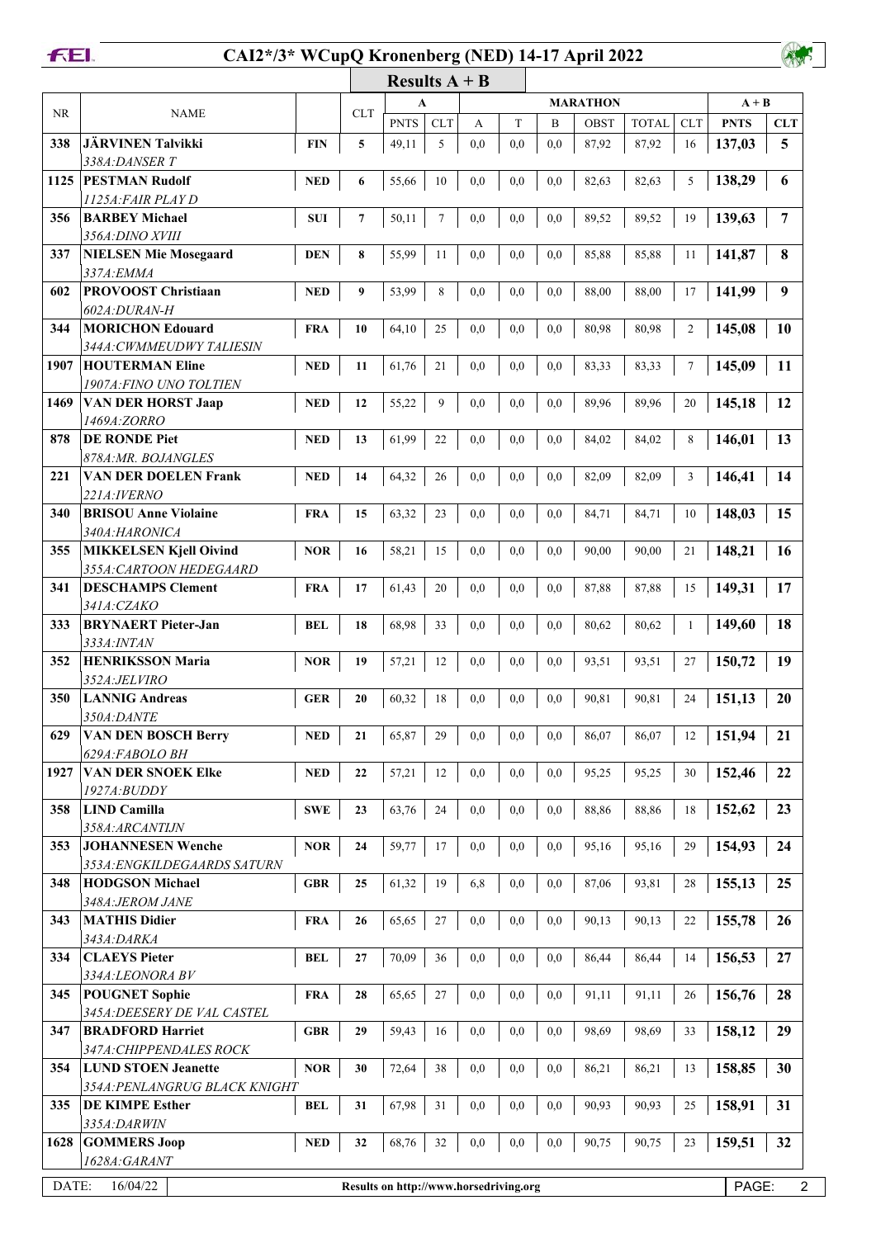**FEL** 

## **CAI2\*/3\* WCupQ Kronenberg (NED) 14-17 April 2022**

|           |                                                                                        |            |            | Results $A + B$ |            |           |              |              |                 |              |                |             |            |
|-----------|----------------------------------------------------------------------------------------|------------|------------|-----------------|------------|-----------|--------------|--------------|-----------------|--------------|----------------|-------------|------------|
|           |                                                                                        |            |            | A               |            |           |              |              | <b>MARATHON</b> | $A + B$      |                |             |            |
| <b>NR</b> | <b>NAME</b>                                                                            |            | <b>CLT</b> | <b>PNTS</b>     | <b>CLT</b> | А         | T            | B            | OBST            | <b>TOTAL</b> | <b>CLT</b>     | <b>PNTS</b> | <b>CLT</b> |
| 338       | <b>JÄRVINEN Talvikki</b>                                                               | <b>FIN</b> | 5          | 49,11           | 5          | 0,0       | 0,0          | 0,0          | 87,92           | 87,92        | 16             | 137,03      | 5          |
|           | 338A: DANSER T                                                                         |            |            |                 |            |           |              |              |                 |              |                |             |            |
| 1125      | <b>PESTMAN Rudolf</b>                                                                  | <b>NED</b> | 6          | 55,66           | 10         | 0,0       | 0,0          | 0,0          | 82,63           | 82,63        | 5              | 138,29      | 6          |
|           | 1125A:FAIR PLAY D                                                                      |            |            |                 |            |           |              |              |                 |              |                |             |            |
| 356       | <b>BARBEY Michael</b>                                                                  | <b>SUI</b> | 7          | 50,11           | 7          | 0,0       | 0,0          | 0,0          | 89,52           | 89,52        | 19             | 139,63      | 7          |
|           | 356A: DINO XVIII                                                                       |            |            |                 |            |           |              |              |                 |              |                |             |            |
| 337       | <b>NIELSEN Mie Mosegaard</b>                                                           | <b>DEN</b> | 8          | 55,99           | 11         | 0,0       | 0,0          | 0,0          | 85,88           | 85,88        | 11             | 141,87      | 8          |
|           | 337A: EMMA                                                                             |            |            |                 |            |           |              |              |                 |              |                |             |            |
| 602       | <b>PROVOOST Christiaan</b><br>602A:DURAN-H                                             | <b>NED</b> | 9          | 53,99           | 8          | 0,0       | 0,0          | 0,0          | 88,00           | 88,00        | 17             | 141,99      | 9          |
| 344       | <b>MORICHON Edouard</b>                                                                | <b>FRA</b> | 10         | 64,10           | 25         | 0,0       | 0,0          | 0,0          | 80,98           | 80,98        | $\overline{c}$ | 145,08      | 10         |
|           | <i>344A: CWMMEUDWY TALIESIN</i>                                                        |            |            |                 |            |           |              |              |                 |              |                |             |            |
| 1907      | <b>HOUTERMAN Eline</b>                                                                 | <b>NED</b> | 11         | 61,76           | 21         | 0,0       | 0,0          | 0,0          | 83,33           | 83,33        | $\overline{7}$ | 145,09      | 11         |
|           | 1907A: FINO UNO TOLTIEN                                                                |            |            |                 |            |           |              |              |                 |              |                |             |            |
| 1469      | <b>VAN DER HORST Jaap</b>                                                              | <b>NED</b> | 12         | 55,22           | 9          | 0,0       | 0,0          | 0,0          | 89,96           | 89,96        | 20             | 145,18      | 12         |
|           | 1469A:ZORRO                                                                            |            |            |                 |            |           |              |              |                 |              |                |             |            |
| 878       | <b>DE RONDE Piet</b>                                                                   | <b>NED</b> | 13         | 61,99           | 22         | 0,0       | 0,0          | 0,0          | 84,02           | 84,02        | 8              | 146,01      | 13         |
|           | 878A: MR. BOJANGLES                                                                    |            |            |                 |            |           |              |              |                 |              |                |             |            |
| 221       | VAN DER DOELEN Frank                                                                   | <b>NED</b> | 14         | 64,32           | 26         | 0,0       | 0,0          | 0,0          | 82,09           | 82,09        | 3              | 146,41      | 14         |
|           | 221A:IVERNO                                                                            |            |            |                 |            |           |              |              |                 |              |                |             |            |
| 340       | <b>BRISOU Anne Violaine</b>                                                            | <b>FRA</b> | 15         | 63,32           | 23         | 0,0       | 0,0          | 0,0          | 84,71           | 84,71        | 10             | 148,03      | 15         |
|           | 340A:HARONICA                                                                          |            |            |                 |            |           |              |              |                 |              |                |             |            |
| 355       | <b>MIKKELSEN Kjell Oivind</b>                                                          | <b>NOR</b> | 16         | 58,21           | 15         | 0,0       | 0,0          | 0,0          | 90,00           | 90,00        | 21             | 148,21      | 16         |
|           | 355A: CARTOON HEDEGAARD                                                                |            |            |                 |            |           |              |              |                 |              |                |             |            |
| 341       | <b>DESCHAMPS Clement</b><br>341A:CZAKO                                                 | <b>FRA</b> | 17         | 61,43           | 20         | 0,0       | 0,0          | 0,0          | 87,88           | 87,88        | 15             | 149,31      | 17         |
| 333       | <b>BRYNAERT</b> Pieter-Jan                                                             |            |            |                 |            |           |              |              |                 |              |                | 149,60      | 18         |
|           | 333A: INTAN                                                                            | <b>BEL</b> | 18         | 68,98           | 33         | 0,0       | 0,0          | 0,0          | 80,62           | 80,62        | 1              |             |            |
| 352       | <b>HENRIKSSON Maria</b>                                                                | <b>NOR</b> | 19         | 57,21           | 12         | 0,0       | 0,0          | 0,0          | 93,51           | 93,51        | 27             | 150,72      | 19         |
|           | 352A:JELVIRO                                                                           |            |            |                 |            |           |              |              |                 |              |                |             |            |
| 350       | <b>LANNIG Andreas</b>                                                                  | <b>GER</b> | 20         | 60,32           | 18         | 0,0       | 0,0          | 0,0          | 90,81           | 90,81        | 24             | 151,13      | 20         |
|           | 350A:DANTE                                                                             |            |            |                 |            |           |              |              |                 |              |                |             |            |
|           | 629 VAN DEN BOSCH Berry                                                                | $\bf NED$  | 21         | 65,87           | $29\,$     | $\rm 0,0$ | $\rm 0,0$    | $\rm 0.0$    | 86,07           | 86,07        | 12             | 151,94      | 21         |
|           | 629A:FABOLO BH                                                                         |            |            |                 |            |           |              |              |                 |              |                |             |            |
| 1927      | <b>VAN DER SNOEK Elke</b>                                                              | <b>NED</b> | 22         | 57,21           | 12         | 0,0       | 0,0          | 0,0          | 95,25           | 95,25        | 30             | 152,46      | 22         |
|           | $1927A$ : $B$ UDDY                                                                     |            |            |                 |            |           |              |              |                 |              |                |             |            |
| 358       | <b>LIND Camilla</b>                                                                    | <b>SWE</b> | 23         | 63,76           | 24         | 0,0       | 0,0          | $_{\rm 0,0}$ | 88,86           | 88,86        | 18             | 152,62      | 23         |
|           | 358A:ARCANTIJN                                                                         |            |            |                 |            |           |              |              |                 |              |                |             |            |
| 353       | <b>JOHANNESEN Wenche</b>                                                               | <b>NOR</b> | 24         | 59,77           | 17         | 0,0       | $_{\rm 0,0}$ | 0,0          | 95,16           | 95,16        | 29             | 154,93      | 24         |
|           | 353A: ENGKILDEGAARDS SATURN                                                            |            |            |                 |            |           |              |              |                 |              |                |             |            |
| 348       | <b>HODGSON Michael</b>                                                                 | <b>GBR</b> | 25         | 61,32           | 19         | 6,8       | $_{\rm 0,0}$ | 0,0          | 87,06           | 93,81        | 28             | 155,13      | 25         |
| 343       | 348A: JEROM JANE<br><b>MATHIS Didier</b>                                               |            |            |                 |            |           |              |              |                 |              |                | 155,78      | 26         |
|           | 343A: DARKA                                                                            | <b>FRA</b> | 26         | 65,65           | 27         | 0,0       | $_{\rm 0,0}$ | 0,0          | 90,13           | 90,13        | 22             |             |            |
| 334       | <b>CLAEYS Pieter</b>                                                                   | <b>BEL</b> | 27         | 70,09           | 36         | 0,0       | 0,0          | 0,0          | 86,44           | 86,44        | 14             | 156,53      | 27         |
|           | 334A:LEONORA BV                                                                        |            |            |                 |            |           |              |              |                 |              |                |             |            |
| 345       | <b>POUGNET Sophie</b>                                                                  | <b>FRA</b> | 28         | 65,65           | 27         | 0,0       | $_{\rm 0,0}$ | 0,0          | 91,11           | 91,11        | 26             | 156,76      | 28         |
|           | 345A: DEESERY DE VAL CASTEL                                                            |            |            |                 |            |           |              |              |                 |              |                |             |            |
| 347       | <b>BRADFORD Harriet</b>                                                                | <b>GBR</b> | 29         | 59,43           | 16         | 0,0       | 0,0          | 0,0          | 98,69           | 98,69        | 33             | 158,12      | 29         |
|           | 347A: CHIPPENDALES ROCK                                                                |            |            |                 |            |           |              |              |                 |              |                |             |            |
| 354       | <b>LUND STOEN Jeanette</b>                                                             | <b>NOR</b> | 30         | 72,64           | 38         | 0,0       | 0,0          | 0,0          | 86,21           | 86,21        | 13             | 158,85      | 30         |
|           | 354A: PENLANGRUG BLACK KNIGHT                                                          |            |            |                 |            |           |              |              |                 |              |                |             |            |
| 335       | <b>DE KIMPE Esther</b>                                                                 | <b>BEL</b> | 31         | 67,98           | 31         | 0,0       | 0,0          | 0,0          | 90,93           | 90,93        | 25             | 158,91      | 31         |
|           | 335A: DARWIN                                                                           |            |            |                 |            |           |              |              |                 |              |                |             |            |
| 1628      | <b>GOMMERS Joop</b>                                                                    | <b>NED</b> | 32         | 68,76           | 32         | 0,0       | 0,0          | 0,0          | 90,75           | 90,75        | 23             | 159,51      | 32         |
|           | 1628A:GARANT                                                                           |            |            |                 |            |           |              |              |                 |              |                |             |            |
|           | DATE:<br>16/04/22<br>PAGE:<br>$\overline{c}$<br>Results on http://www.horsedriving.org |            |            |                 |            |           |              |              |                 |              |                |             |            |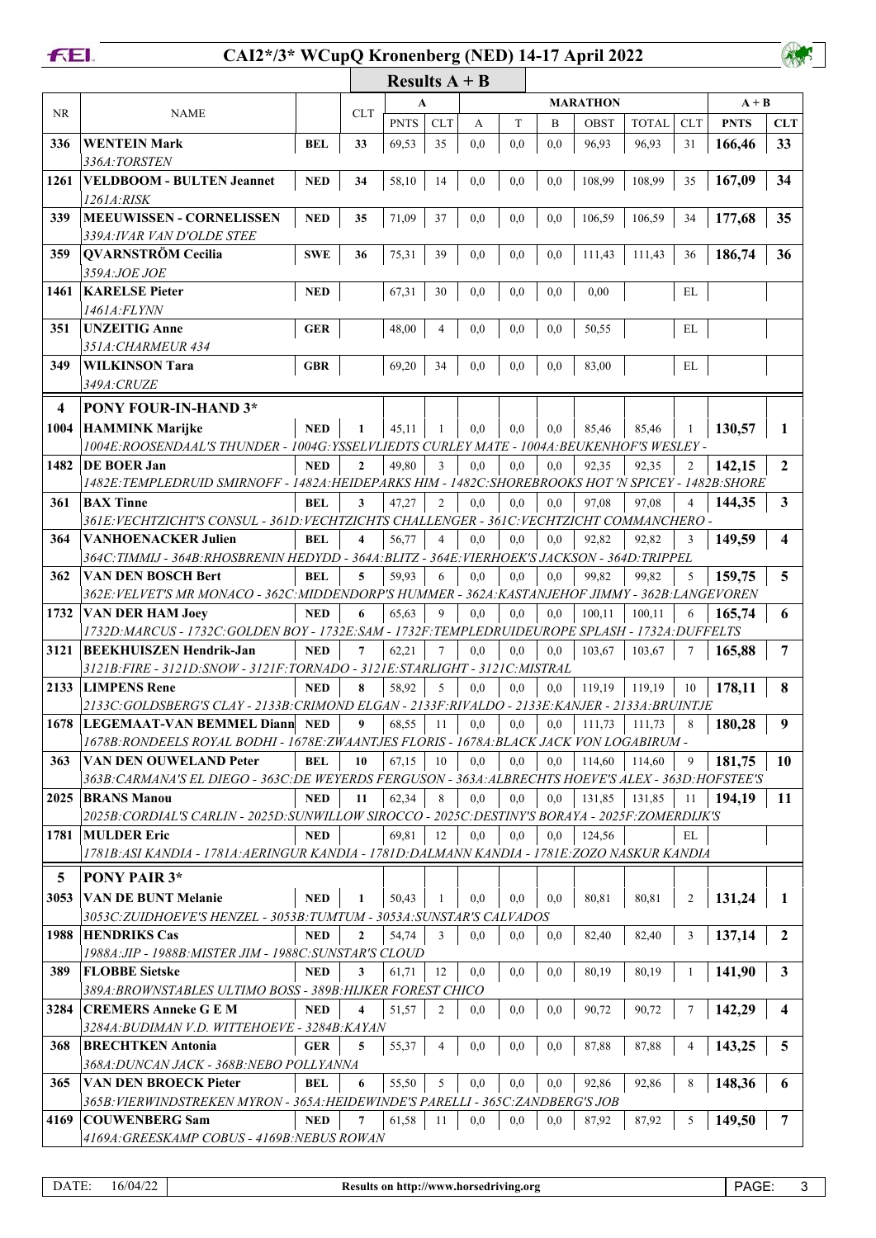

## **CAI2\*/3\* WCupQ Kronenberg (NED) 14-17 April 2022**

|           |                                                                                                                          |            |                | Results $A + B$ |                |          |     |     |                 |              |                |             |                         |
|-----------|--------------------------------------------------------------------------------------------------------------------------|------------|----------------|-----------------|----------------|----------|-----|-----|-----------------|--------------|----------------|-------------|-------------------------|
|           |                                                                                                                          |            |                | A               |                |          |     |     | <b>MARATHON</b> |              |                | $A + B$     |                         |
| <b>NR</b> | <b>NAME</b>                                                                                                              |            | <b>CLT</b>     | <b>PNTS</b>     | <b>CLT</b>     | А        | T   | B   | OBST            | <b>TOTAL</b> | <b>CLT</b>     | <b>PNTS</b> | <b>CLT</b>              |
| 336       | <b>WENTEIN Mark</b>                                                                                                      | <b>BEL</b> | 33             | 69,53           | 35             | 0.0      | 0,0 | 0.0 | 96,93           | 96,93        | 31             | 166,46      | 33                      |
|           | 336A:TORSTEN                                                                                                             |            |                |                 |                |          |     |     |                 |              |                |             |                         |
| 1261      | <b>VELDBOOM - BULTEN Jeannet</b>                                                                                         | <b>NED</b> | 34             | 58,10           | 14             | 0,0      | 0,0 | 0,0 | 108,99          | 108,99       | 35             | 167,09      | 34                      |
|           | 1261A:RISK                                                                                                               |            |                |                 |                |          |     |     |                 |              |                |             |                         |
| 339       | <b>MEEUWISSEN - CORNELISSEN</b>                                                                                          | <b>NED</b> | 35             | 71,09           | 37             | 0,0      | 0,0 | 0,0 | 106,59          | 106,59       | 34             | 177,68      | 35                      |
|           | 339A: IVAR VAN D'OLDE STEE                                                                                               |            |                |                 |                |          |     |     |                 |              |                |             |                         |
| 359       | <b>QVARNSTRÖM Cecilia</b>                                                                                                | <b>SWE</b> | 36             | 75,31           | 39             | 0,0      | 0,0 | 0,0 | 111,43          | 111,43       | 36             | 186,74      | 36                      |
|           | 359A:JOE JOE                                                                                                             |            |                |                 |                |          |     |     |                 |              |                |             |                         |
| 1461      | <b>KARELSE Pieter</b>                                                                                                    | <b>NED</b> |                | 67,31           | 30             | 0,0      | 0.0 | 0.0 | 0,00            |              | EL             |             |                         |
|           | 1461A:FLYNN                                                                                                              |            |                |                 |                |          |     |     |                 |              |                |             |                         |
| 351       | <b>UNZEITIG Anne</b>                                                                                                     | <b>GER</b> |                | 48,00           | $\overline{4}$ | 0.0      | 0,0 | 0.0 | 50,55           |              | EL             |             |                         |
|           | 351A: CHARMEUR 434                                                                                                       |            |                |                 |                |          |     |     |                 |              |                |             |                         |
| 349       | <b>WILKINSON Tara</b>                                                                                                    | <b>GBR</b> |                | 69,20           | 34             | 0,0      | 0,0 | 0.0 | 83,00           |              | EL             |             |                         |
|           | 349A: CRUZE                                                                                                              |            |                |                 |                |          |     |     |                 |              |                |             |                         |
| 4         | PONY FOUR-IN-HAND 3*                                                                                                     |            |                |                 |                |          |     |     |                 |              |                |             |                         |
| 1004      | <b>HAMMINK Marijke</b>                                                                                                   | <b>NED</b> | 1              | 45,11           | 1              | 0,0      | 0,0 | 0.0 | 85,46           | 85,46        | 1              | 130,57      | 1                       |
|           | 1004E:ROOSENDAAL'S THUNDER - 1004G:YSSELVLIEDTS CURLEY MATE - 1004A:BEUKENHOF'S WESLEY -                                 |            |                |                 |                |          |     |     |                 |              |                |             |                         |
| 1482      | DE BOER Jan                                                                                                              | <b>NED</b> | $\mathbf{2}$   | 49,80           | 3              | 0.0      | 0,0 | 0.0 | 92,35           | 92,35        | $\overline{2}$ | 142,15      | $\mathbf{2}$            |
|           | 1482E:TEMPLEDRUID SMIRNOFF - 1482A:HEIDEPARKS HIM - 1482C:SHOREBROOKS HOT 'N SPICEY - 1482B:SHORE                        |            |                |                 |                |          |     |     |                 |              |                |             |                         |
| 361       | <b>BAX Tinne</b>                                                                                                         | <b>BEL</b> | 3              | 47,27           | $\overline{2}$ | 0,0      | 0,0 | 0,0 | 97,08           | 97,08        | 4              | 144,35      | 3                       |
|           | 361E: VECHTZICHT'S CONSUL - 361D: VECHTZICHTS CHALLENGER - 361C: VECHTZICHT COMMANCHERO -                                |            |                |                 |                |          |     |     |                 |              |                |             |                         |
| 364       | <b>VANHOENACKER Julien</b>                                                                                               | <b>BEL</b> | 4              | 56,77           | $\overline{4}$ | 0,0      | 0,0 | 0.0 | 92,82           | 92,82        | 3              | 149,59      | 4                       |
|           | 364C:TIMMIJ - 364B:RHOSBRENIN HEDYDD - 364A:BLITZ - 364E:VIERHOEK'S JACKSON - 364D:TRIPPEL                               |            |                |                 |                |          |     |     |                 |              |                |             |                         |
| 362       | <b>VAN DEN BOSCH Bert</b>                                                                                                | <b>BEL</b> | 5              | 59,93           | 6              | 0,0      | 0.0 | 0,0 | 99,82           | 99,82        | 5              | 159,75      | 5                       |
|           | 362E: VELVET'S MR MONACO - 362C: MIDDENDORP'S HUMMER - 362A: KASTANJEHOF JIMMY - 362B: LANGEVOREN                        |            |                |                 |                |          |     |     |                 |              |                |             |                         |
| 1732      | <b>VAN DER HAM Joev</b>                                                                                                  | <b>NED</b> | 6              | 65,63           | 9              | 0.0      | 0,0 | 0.0 | 100,11          | 100,11       | 6              | 165,74      | 6                       |
|           | 1732D: MARCUS - 1732C: GOLDEN BOY - 1732E: SAM - 1732F: TEMPLEDRUIDEUROPE SPLASH - 1732A: DUFFELTS                       |            |                |                 |                |          |     |     |                 |              |                |             |                         |
| 3121      | <b>BEEKHUISZEN Hendrik-Jan</b>                                                                                           | <b>NED</b> | $\overline{7}$ | 62,21           | $\overline{7}$ | 0.0      | 0,0 | 0,0 | 103,67          | 103,67       |                | 165,88      | 7                       |
|           | 3121B; FIRE - 3121D; SNOW - 3121F; TORNADO - 3121E; STARLIGHT - 3121C; MISTRAL                                           |            |                |                 |                |          |     |     |                 |              |                |             |                         |
| 2133      | <b>LIMPENS Rene</b><br>2133C: GOLDSBERG'S CLAY - 2133B: CRIMOND ELGAN - 2133F: RIVALDO - 2133E: KANJER - 2133A: BRUINTJE | <b>NED</b> | 8              | 58,92           | 5              | 0,0      | 0,0 | 0,0 | 119,19          | 119,19       | 10             | 178,11      | 8                       |
| 1678      | LEGEMAAT-VAN BEMMEL Diann                                                                                                | <b>NED</b> | 9              | 68,55           | 11             | 0,0      | 0,0 | 0.0 |                 | 111,73       | 8              | 180,28      | 9                       |
|           | 1678B:RONDEELS ROYAL BODHI - 1678E:ZWAANTJES FLORIS - 1678A:BLACK JACK VON LOGABIRUM -                                   |            |                |                 |                |          |     |     | 111,73          |              |                |             |                         |
| 363       | VAN DEN OUWELAND Peter                                                                                                   | <b>BEL</b> | 10             | 67,15           | 10             | 0,0      | 0,0 | 0.0 | 114,60          | 114,60       | 9              | 181,75      | 10                      |
|           | 363B: CARMANA'S EL DIEGO - 363C: DE WEYERDS FERGUSON - 363A: ALBRECHTS HOEVE'S ALEX - 363D: HOFSTEE'S                    |            |                |                 |                |          |     |     |                 |              |                |             |                         |
| 2025      | <b>BRANS Manou</b>                                                                                                       | <b>NED</b> | 11             | 62,34           | $\,8\,$        | $_{0,0}$ | 0,0 | 0,0 | 131,85          | 131,85       | 11             | 194,19      | 11                      |
|           | 2025B: CORDIAL'S CARLIN - 2025D: SUNWILLOW SIROCCO - 2025C: DESTINY'S BORAYA - 2025F: ZOMERDIJK'S                        |            |                |                 |                |          |     |     |                 |              |                |             |                         |
| 1781      | <b>MULDER Eric</b>                                                                                                       | <b>NED</b> |                | 69,81           | 12             | 0,0      | 0,0 | 0,0 | 124,56          |              | EL             |             |                         |
|           | 1781B: ASI KANDIA - 1781A: AERINGUR KANDIA - 1781D: DALMANN KANDIA - 1781E: ZOZO NASKUR KANDIA                           |            |                |                 |                |          |     |     |                 |              |                |             |                         |
| 5         | PONY PAIR 3*                                                                                                             |            |                |                 |                |          |     |     |                 |              |                |             |                         |
|           |                                                                                                                          |            |                |                 |                |          |     |     |                 |              |                |             |                         |
| 3053      | <b>VAN DE BUNT Melanie</b><br>3053C: ZUIDHOEVE'S HENZEL - 3053B: TUMTUM - 3053A: SUNSTAR'S CALVADOS                      | <b>NED</b> | 1              | 50,43           | -1             | 0,0      | 0,0 | 0,0 | 80,81           | 80,81        | $\overline{c}$ | 131,24      | 1                       |
| 1988      | <b>HENDRIKS Cas</b>                                                                                                      | <b>NED</b> | $\mathbf{2}$   | 54,74           | 3              | 0,0      | 0,0 | 0,0 | 82,40           | 82,40        | 3              | 137,14      | $\overline{2}$          |
|           | 1988A:JIP - 1988B:MISTER JIM - 1988C:SUNSTAR'S CLOUD                                                                     |            |                |                 |                |          |     |     |                 |              |                |             |                         |
| 389       | <b>FLOBBE Sietske</b>                                                                                                    | <b>NED</b> | 3              | 61,71           | 12             | 0,0      | 0,0 | 0,0 | 80,19           | 80,19        | $\mathbf{1}$   | 141,90      | $\mathbf{3}$            |
|           | 389A: BROWNSTABLES ULTIMO BOSS - 389B: HIJKER FOREST CHICO                                                               |            |                |                 |                |          |     |     |                 |              |                |             |                         |
| 3284      | <b>CREMERS Anneke G E M</b>                                                                                              | <b>NED</b> | 4              | 51,57           | 2              | 0,0      | 0,0 | 0,0 | 90,72           | 90,72        | 7              | 142,29      | $\overline{\mathbf{4}}$ |
|           | 3284A: BUDIMAN V.D. WITTEHOEVE - 3284B: KAYAN                                                                            |            |                |                 |                |          |     |     |                 |              |                |             |                         |
| 368       | <b>BRECHTKEN Antonia</b>                                                                                                 | <b>GER</b> | 5              | 55,37           | 4              | 0,0      | 0,0 | 0,0 | 87,88           | 87,88        | 4              | 143,25      | 5                       |
|           | 368A: DUNCAN JACK - 368B: NEBO POLLYANNA                                                                                 |            |                |                 |                |          |     |     |                 |              |                |             |                         |
| 365       | <b>VAN DEN BROECK Pieter</b>                                                                                             | <b>BEL</b> | 6              | 55,50           | 5              | 0,0      | 0,0 | 0,0 | 92,86           | 92,86        | 8              | 148,36      | 6                       |
|           | 365B: VIERWINDSTREKEN MYRON - 365A: HEIDEWINDE'S PARELLI - 365C: ZANDBERG'S JOB                                          |            |                |                 |                |          |     |     |                 |              |                |             |                         |
| 4169      | <b>COUWENBERG Sam</b>                                                                                                    | <b>NED</b> | 7              | 61,58           | 11             | 0,0      | 0,0 | 0,0 | 87,92           | 87,92        | 5              | 149,50      | 7                       |
|           | 4169A: GREESKAMP COBUS - 4169B: NEBUS ROWAN                                                                              |            |                |                 |                |          |     |     |                 |              |                |             |                         |